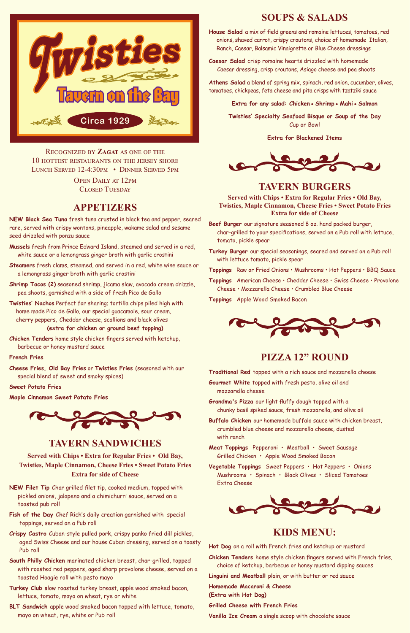# **APPETIZERS**

**NEW Black Sea Tuna** fresh tuna crusted in black tea and pepper, seared rare, served with crispy wontons, pineapple, wakame salad and sesame seed drizzled with ponzu sauce

- **Mussels** fresh from Prince Edward Island, steamed and served in a red, white sauce or a lemongrass ginger broth with garlic crostini
- **Steamers** fresh clams, steamed, and served in a red, white wine sauce or a lemongrass ginger broth with garlic crostini
- **Shrimp Tacos (2)** seasoned shrimp, jicama slaw, avocado cream drizzle, pea shoots, garnished with a side of fresh Pico de Gallo
- **Twisties' Nachos** Perfect for sharing; tortilla chips piled high with home made Pico de Gallo, our special guacamole, sour cream, cherry peppers, Cheddar cheese, scallions and black olives **(extra for chicken or ground beef topping)**

**Chicken Tenders** home style chicken fingers served with ketchup, barbecue or honey mustard sauce

## **French Fries**

**Cheese Fries, Old Bay Fries** or **Twisties Fries** (seasoned with our special blend of sweet and smoky spices)

### **Sweet Potato Fries**

**Maple Cinnamon Sweet Potato Fries**



# **PIZZA 12" ROUND**

**Traditional Red** topped with a rich sauce and mozzarella cheese

**Gourmet White** topped with fresh pesto, olive oil and mozzarella cheese

**Grandma's Pizza** our light fluffy dough topped with a chunky basil spiked sauce, fresh mozzarella, and olive oil

**Buffalo Chicken** our homemade buffalo sauce with chicken breast, crumbled blue cheese and mozzarella cheese, dusted with ranch

**Meat Toppings** Pepperoni • Meatball • Sweet Sausage Grilled Chicken • Apple Wood Smoked Bacon

**Vegetable Toppings** Sweet Peppers • Hot Peppers • Onions Mushrooms • Spinach • Black Olives • Sliced Tomatoes Extra Cheese

Recognized by **Zagat** as one of the 10 hottest restaurants on the jersey shore Lunch Served 12-4:30pm • Dinner Served 5pm

OPEN DAILY AT 12PM

**Served with Chips • Extra for Regular Fries • Old Bay, Twisties, Maple Cinnamon, Cheese Fries • Sweet Potato Fries Extra for side of Cheese**

**Beef Burger** our signature seasoned 8 oz. hand packed burger, char-grilled to your specifications, served on a Pub roll with lettuce, tomato, pickle spear

**Turkey Burger** our special seasonings, seared and served on a Pub roll with lettuce tomato, pickle spear

**Toppings** Raw or Fried Onions • Mushrooms • Hot Peppers • BBQ Sauce

**Toppings** American Cheese • Cheddar Cheese • Swiss Cheese • Provolone Cheese • Mozzarella Cheese • Crumbled Blue Cheese

**Toppings** Apple Wood Smoked Bacon



# **SOUPS & SALADS**

**House Salad** a mix of field greens and romaine lettuces, tomatoes, red onions, shaved carrot, crispy croutons, choice of homemade Italian, Ranch, Caesar, Balsamic Vinaigrette or Blue Cheese dressings

**Caesar Salad** crisp romaine hearts drizzled with homemade Caesar dressing, crisp croutons, Asiago cheese and pea shoots

**Athens Salad** a blend of spring mix, spinach, red onion, cucumber, olives, tomatoes, chickpeas, feta cheese and pita crisps with tzatziki sauce

**Extra for any salad: Chicken•Shrimp•Mahi•Salmon** 

**Twisties' Specialty Seafood Bisque or Soup of the Day**  Cup or Bowl

**Extra for Blackened Items**



**TAVERN BURGERS** 

# **TAVERN SANDWICHES**

**Served with Chips • Extra for Regular Fries • Old Bay, Twisties, Maple Cinnamon, Cheese Fries • Sweet Potato Fries Extra for side of Cheese**

- **NEW Filet Tip** Char grilled filet tip, cooked medium, topped with pickled onions, jalapeno and a chimichurri sauce, served on a toasted pub roll
- **Fish of the Day** Chef Rich's daily creation garnished with special toppings, served on a Pub roll
- **Crispy Castro** Cuban-style pulled pork, crispy panko fried dill pickles, aged Swiss Cheese and our house Cuban dressing, served on a toasty Pub roll
- **South Philly Chicken** marinated chicken breast, char-grilled, topped with roasted red peppers, aged sharp provolone cheese, served on a toasted Hoagie roll with pesto mayo
- **Turkey Club s**low roasted turkey breast, apple wood smoked bacon, lettuce, tomato, mayo on wheat, rye or white
- **BLT Sandwich** apple wood smoked bacon topped with lettuce, tomato, mayo on wheat, rye, white or Pub roll



# **KIDS MENU:**

**Hot Dog** on a roll with French fries and ketchup or mustard

**Chicken Tenders** home style chicken fingers served with French fries, choice of ketchup, barbecue or honey mustard dipping sauces

**Linguini and Meatball** plain, or with butter or red sauce

**Homemade Macaroni & Cheese**

**(Extra with Hot Dog)**

**Grilled Cheese with French Fries** 

**Vanilla Ice Cream** a single scoop with chocolate sauce